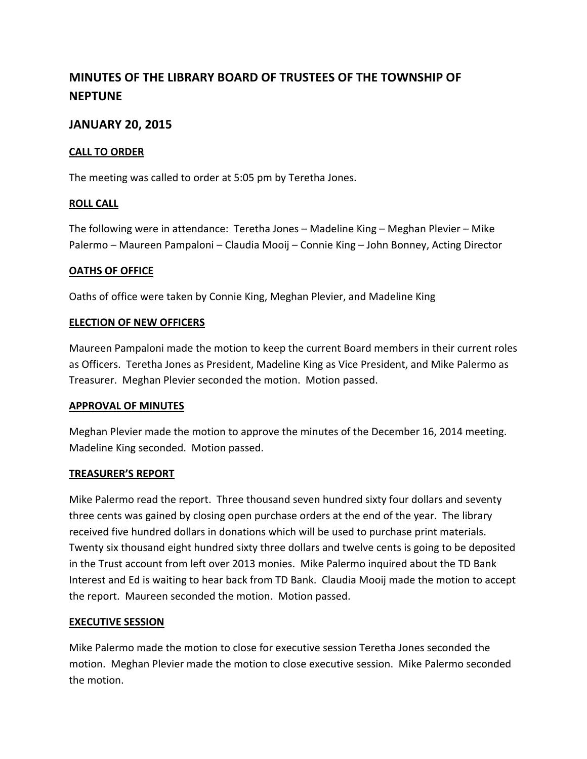# **MINUTES OF THE LIBRARY BOARD OF TRUSTEES OF THE TOWNSHIP OF NEPTUNE**

# **JANUARY 20, 2015**

### **CALL TO ORDER**

The meeting was called to order at 5:05 pm by Teretha Jones.

#### **ROLL CALL**

The following were in attendance: Teretha Jones – Madeline King – Meghan Plevier – Mike Palermo – Maureen Pampaloni – Claudia Mooij – Connie King – John Bonney, Acting Director

## **OATHS OF OFFICE**

Oaths of office were taken by Connie King, Meghan Plevier, and Madeline King

#### **ELECTION OF NEW OFFICERS**

Maureen Pampaloni made the motion to keep the current Board members in their current roles as Officers. Teretha Jones as President, Madeline King as Vice President, and Mike Palermo as Treasurer. Meghan Plevier seconded the motion. Motion passed.

#### **APPROVAL OF MINUTES**

Meghan Plevier made the motion to approve the minutes of the December 16, 2014 meeting. Madeline King seconded. Motion passed.

#### **TREASURER'S REPORT**

Mike Palermo read the report. Three thousand seven hundred sixty four dollars and seventy three cents was gained by closing open purchase orders at the end of the year. The library received five hundred dollars in donations which will be used to purchase print materials. Twenty six thousand eight hundred sixty three dollars and twelve cents is going to be deposited in the Trust account from left over 2013 monies. Mike Palermo inquired about the TD Bank Interest and Ed is waiting to hear back from TD Bank. Claudia Mooij made the motion to accept the report. Maureen seconded the motion. Motion passed.

#### **EXECUTIVE SESSION**

Mike Palermo made the motion to close for executive session Teretha Jones seconded the motion. Meghan Plevier made the motion to close executive session. Mike Palermo seconded the motion.